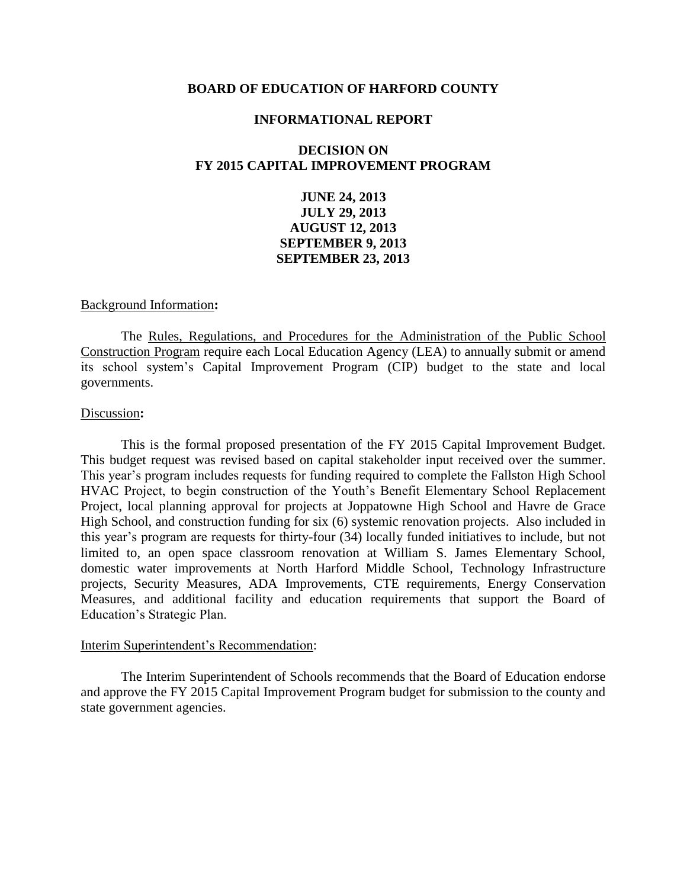### **BOARD OF EDUCATION OF HARFORD COUNTY**

#### **INFORMATIONAL REPORT**

# **DECISION ON FY 2015 CAPITAL IMPROVEMENT PROGRAM**

**JUNE 24, 2013 JULY 29, 2013 AUGUST 12, 2013 SEPTEMBER 9, 2013 SEPTEMBER 23, 2013**

#### Background Information**:**

The Rules, Regulations, and Procedures for the Administration of the Public School Construction Program require each Local Education Agency (LEA) to annually submit or amend its school system's Capital Improvement Program (CIP) budget to the state and local governments.

### Discussion**:**

This is the formal proposed presentation of the FY 2015 Capital Improvement Budget. This budget request was revised based on capital stakeholder input received over the summer. This year's program includes requests for funding required to complete the Fallston High School HVAC Project, to begin construction of the Youth's Benefit Elementary School Replacement Project, local planning approval for projects at Joppatowne High School and Havre de Grace High School, and construction funding for six (6) systemic renovation projects. Also included in this year's program are requests for thirty-four (34) locally funded initiatives to include, but not limited to, an open space classroom renovation at William S. James Elementary School, domestic water improvements at North Harford Middle School, Technology Infrastructure projects, Security Measures, ADA Improvements, CTE requirements, Energy Conservation Measures, and additional facility and education requirements that support the Board of Education's Strategic Plan.

# Interim Superintendent's Recommendation:

The Interim Superintendent of Schools recommends that the Board of Education endorse and approve the FY 2015 Capital Improvement Program budget for submission to the county and state government agencies.